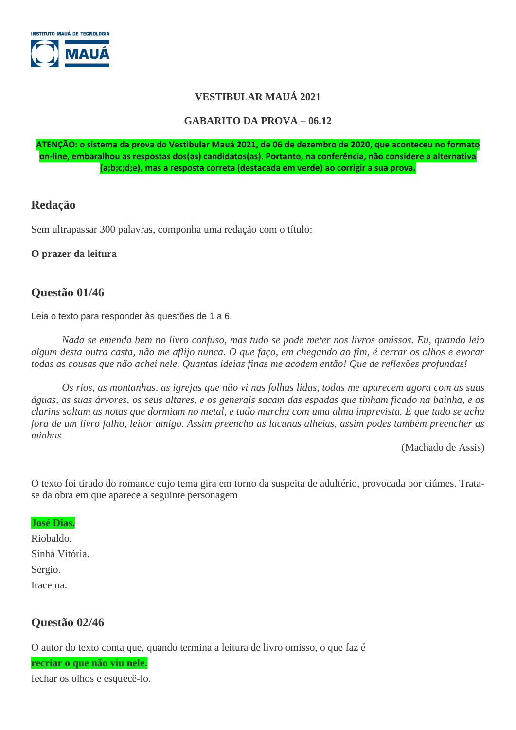

#### **VESTIBULAR MAUÁ 2021**

#### **GABARITO DA PROVA – 06.12**

**ATENÇÃO: o sistema da prova do Vestibular Mauá 2021, de 06 de dezembro de 2020, que aconteceu no formato on-line, embaralhou as respostas dos(as) candidatos(as). Portanto, na conferência, não considere a alternativa (a;b;c;d;e), mas a resposta correta (destacada em verde) ao corrigir a sua prova.**

## **Redação**

Sem ultrapassar 300 palavras, componha uma redação com o título:

#### **O prazer da leitura**

### **Questão 01/46**

Leia o texto para responder às questões de 1 a 6.

*Nada se emenda bem no livro confuso, mas tudo se pode meter nos livros omissos. Eu, quando leio algum desta outra casta, não me aflijo nunca. O que faço, em chegando ao fim, é cerrar os olhos e evocar todas as cousas que não achei nele. Quantas ideias finas me acodem então! Que de reflexões profundas!*

*Os rios, as montanhas, as igrejas que não vi nas folhas lidas, todas me aparecem agora com as suas águas, as suas árvores, os seus altares, e os generais sacam das espadas que tinham ficado na bainha, e os clarins soltam as notas que dormiam no metal, e tudo marcha com uma alma imprevista. É que tudo se acha fora de um livro falho, leitor amigo. Assim preencho as lacunas alheias, assim podes também preencher as minhas.*

(Machado de Assis)

O texto foi tirado do romance cujo tema gira em torno da suspeita de adultério, provocada por ciúmes. Tratase da obra em que aparece a seguinte personagem

#### **José Dias.**

Riobaldo. Sinhá Vitória. Sérgio. Iracema.

## **Questão 02/46**

O autor do texto conta que, quando termina a leitura de livro omisso, o que faz é

**recriar o que não viu nele.**

fechar os olhos e esquecê-lo.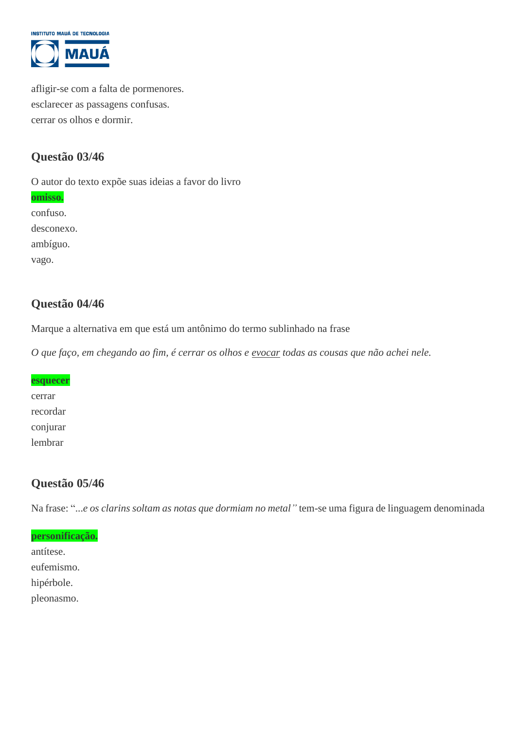

afligir-se com a falta de pormenores. esclarecer as passagens confusas. cerrar os olhos e dormir.

## **Questão 03/46**

O autor do texto expõe suas ideias a favor do livro **omisso.** confuso. desconexo. ambíguo. vago.

## **Questão 04/46**

Marque a alternativa em que está um antônimo do termo sublinhado na frase

*O que faço, em chegando ao fim, é cerrar os olhos e evocar todas as cousas que não achei nele.*

# **esquecer** cerrar recordar conjurar lembrar

## **Questão 05/46**

Na frase: "...*e os clarins soltam as notas que dormiam no metal"* tem-se uma figura de linguagem denominada

#### **personificação.**

antítese. eufemismo. hipérbole. pleonasmo.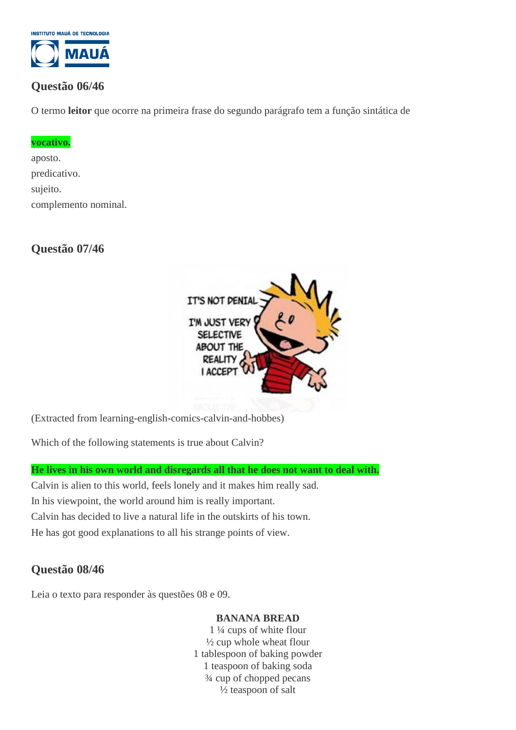

## **Questão 06/46**

O termo **leitor** que ocorre na primeira frase do segundo parágrafo tem a função sintática de

#### **vocativo.**

aposto. predicativo. sujeito. complemento nominal.

## **Questão 07/46**



(Extracted from learning-english-comics-calvin-and-hobbes)

Which of the following statements is true about Calvin?

**He lives in his own world and disregards all that he does not want to deal with.**

Calvin is alien to this world, feels lonely and it makes him really sad. In his viewpoint, the world around him is really important. Calvin has decided to live a natural life in the outskirts of his town. He has got good explanations to all his strange points of view.

# **Questão 08/46**

Leia o texto para responder às questões 08 e 09.

#### **BANANA BREAD**

1 ¼ cups of white flour  $\frac{1}{2}$  cup whole wheat flour 1 tablespoon of baking powder 1 teaspoon of baking soda ¾ cup of chopped pecans ½ teaspoon of salt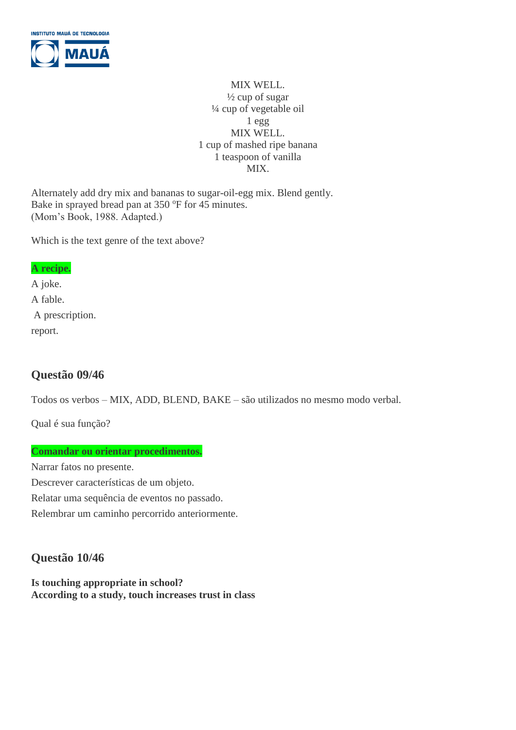

MIX WELL.  $\frac{1}{2}$  cup of sugar ¼ cup of vegetable oil 1 egg MIX WELL. 1 cup of mashed ripe banana 1 teaspoon of vanilla MIX.

Alternately add dry mix and bananas to sugar-oil-egg mix. Blend gently. Bake in sprayed bread pan at 350 °F for 45 minutes. (Mom's Book, 1988. Adapted.)

Which is the text genre of the text above?

#### **A recipe.**

A joke. A fable. A prescription. report.

## **Questão 09/46**

Todos os verbos – MIX, ADD, BLEND, BAKE – são utilizados no mesmo modo verbal*.*

Qual é sua função?

#### **Comandar ou orientar procedimentos.**

Narrar fatos no presente. Descrever características de um objeto. Relatar uma sequência de eventos no passado. Relembrar um caminho percorrido anteriormente.

# **Questão 10/46**

**Is touching appropriate in school? According to a study, touch increases trust in class**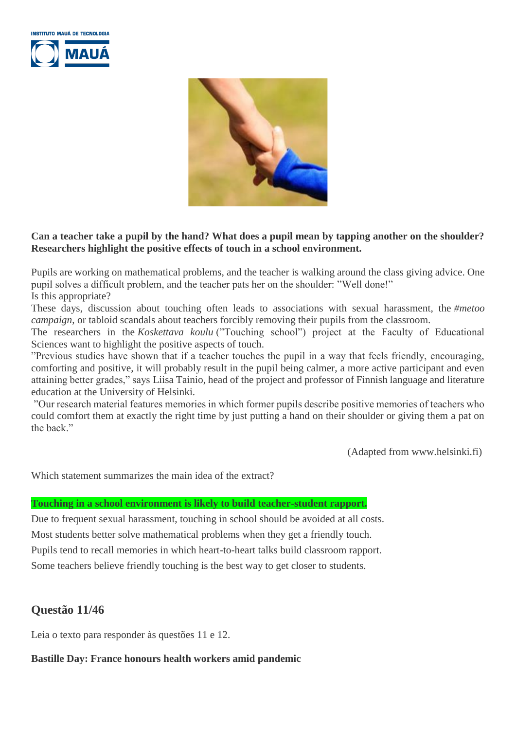



#### **Can a teacher take a pupil by the hand? What does a pupil mean by tapping another on the shoulder? Researchers highlight the positive effects of touch in a school environment.**

Pupils are working on mathematical problems, and the teacher is walking around the class giving advice. One pupil solves a difficult problem, and the teacher pats her on the shoulder: "Well done!" Is this appropriate?

These days, discussion about touching often leads to associations with sexual harassment, the *#metoo campaign*, or tabloid scandals about teachers forcibly removing their pupils from the classroom.

The researchers in the *Koskettava koulu* ("Touching school") project at the Faculty of Educational Sciences want to highlight the positive aspects of touch.

"Previous studies have shown that if a teacher touches the pupil in a way that feels friendly, encouraging, comforting and positive, it will probably result in the pupil being calmer, a more active participant and even attaining better grades," says Liisa Tainio, head of the project and professor of Finnish language and literature education at the University of Helsinki.

"Our research material features memories in which former pupils describe positive memories of teachers who could comfort them at exactly the right time by just putting a hand on their shoulder or giving them a pat on the back."

(Adapted from www.helsinki.fi)

Which statement summarizes the main idea of the extract?

#### **Touching in a school environment is likely to build teacher-student rapport.**

Due to frequent sexual harassment, touching in school should be avoided at all costs. Most students better solve mathematical problems when they get a friendly touch. Pupils tend to recall memories in which heart-to-heart talks build classroom rapport. Some teachers believe friendly touching is the best way to get closer to students.

#### **Questão 11/46**

Leia o texto para responder às questões 11 e 12.

#### **Bastille Day: France honours health workers amid pandemic**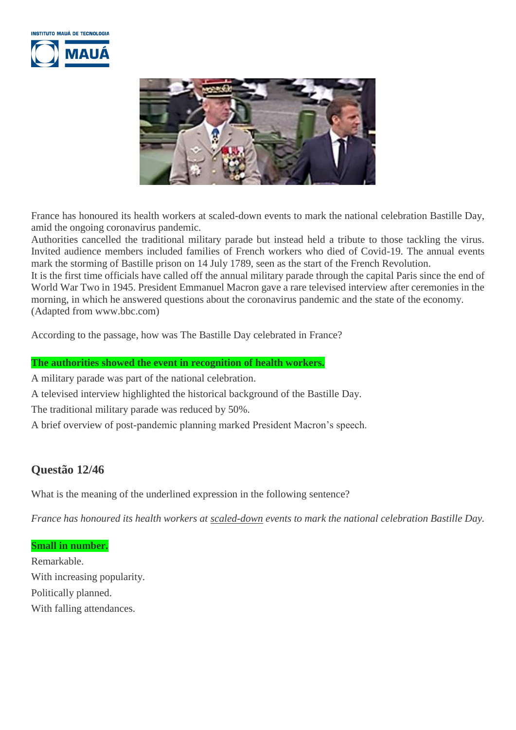



France has honoured its health workers at scaled-down events to mark the national celebration Bastille Day, amid the ongoing coronavirus pandemic.

Authorities cancelled the traditional military parade but instead held a tribute to those tackling the virus. Invited audience members included families of French workers who died of Covid-19. The annual events mark the storming of Bastille prison on 14 July 1789, seen as the start of the French Revolution.

It is the first time officials have called off the annual military parade through the capital Paris since the end of World War Two in 1945. President Emmanuel Macron gave a rare televised interview after ceremonies in the morning, in which he answered questions about the coronavirus pandemic and the state of the economy. (Adapted from www.bbc.com)

According to the passage, how was The Bastille Day celebrated in France?

#### **The authorities showed the event in recognition of health workers.**

A military parade was part of the national celebration.

A televised interview highlighted the historical background of the Bastille Day.

The traditional military parade was reduced by 50%.

A brief overview of post-pandemic planning marked President Macron's speech.

# **Questão 12/46**

What is the meaning of the underlined expression in the following sentence?

*France has honoured its health workers at scaled-down events to mark the national celebration Bastille Day.*

**Small in number.**

Remarkable. With increasing popularity. Politically planned. With falling attendances.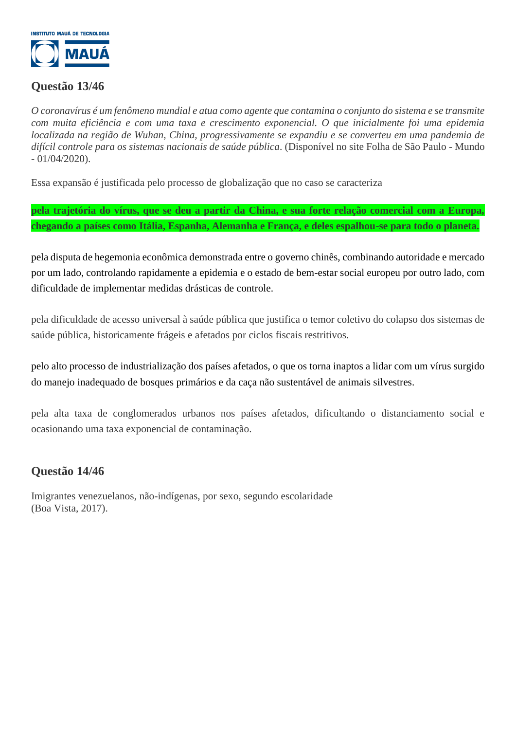

## **Questão 13/46**

*O coronavírus é um fenômeno mundial e atua como agente que contamina o conjunto do sistema e se transmite com muita eficiência e com uma taxa e crescimento exponencial. O que inicialmente foi uma epidemia localizada na região de Wuhan, China, progressivamente se expandiu e se converteu em uma pandemia de difícil controle para os sistemas nacionais de saúde pública*. (Disponível no site Folha de São Paulo - Mundo - 01/04/2020).

Essa expansão é justificada pelo processo de globalização que no caso se caracteriza

**pela trajetória do vírus, que se deu a partir da China, e sua forte relação comercial com a Europa, chegando a países como Itália, Espanha, Alemanha e França, e deles espalhou-se para todo o planeta.**

pela disputa de hegemonia econômica demonstrada entre o governo chinês, combinando autoridade e mercado por um lado, controlando rapidamente a epidemia e o estado de bem-estar social europeu por outro lado, com dificuldade de implementar medidas drásticas de controle.

pela dificuldade de acesso universal à saúde pública que justifica o temor coletivo do colapso dos sistemas de saúde pública, historicamente frágeis e afetados por ciclos fiscais restritivos.

pelo alto processo de industrialização dos países afetados, o que os torna inaptos a lidar com um vírus surgido do manejo inadequado de bosques primários e da caça não sustentável de animais silvestres.

pela alta taxa de conglomerados urbanos nos países afetados, dificultando o distanciamento social e ocasionando uma taxa exponencial de contaminação.

## **Questão 14/46**

Imigrantes venezuelanos, não-indígenas, por sexo, segundo escolaridade (Boa Vista, 2017).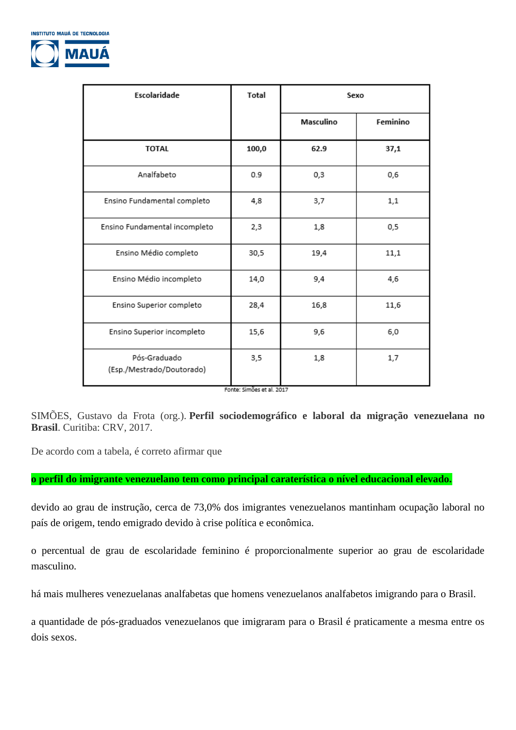

| Escolaridade                              | <b>Total</b> | Sexo      |          |
|-------------------------------------------|--------------|-----------|----------|
|                                           |              | Masculino | Feminino |
| <b>TOTAL</b>                              | 100,0        | 62.9      | 37,1     |
| Analfabeto                                | 0.9          | 0,3       | 0,6      |
| Ensino Fundamental completo               | 4,8          | 3,7       | 1,1      |
| Ensino Fundamental incompleto             | 2,3          | 1,8       | 0,5      |
| Ensino Médio completo                     | 30,5         | 19,4      | 11,1     |
| Ensino Médio incompleto                   | 14,0         | 9,4       | 4,6      |
| Ensino Superior completo                  | 28,4         | 16,8      | 11,6     |
| Ensino Superior incompleto                | 15,6         | 9,6       | 6,0      |
| Pós-Graduado<br>(Esp./Mestrado/Doutorado) | 3,5          | 1,8       | 1,7      |

Fonte: Simões et al. 2017

SIMÕES, Gustavo da Frota (org.). **Perfil sociodemográfico e laboral da migração venezuelana no Brasil**. Curitiba: CRV, 2017.

De acordo com a tabela, é correto afirmar que

#### **o perfil do imigrante venezuelano tem como principal caraterística o nível educacional elevado.**

devido ao grau de instrução, cerca de 73,0% dos imigrantes venezuelanos mantinham ocupação laboral no país de origem, tendo emigrado devido à crise política e econômica.

o percentual de grau de escolaridade feminino é proporcionalmente superior ao grau de escolaridade masculino.

há mais mulheres venezuelanas analfabetas que homens venezuelanos analfabetos imigrando para o Brasil.

a quantidade de pós-graduados venezuelanos que imigraram para o Brasil é praticamente a mesma entre os dois sexos.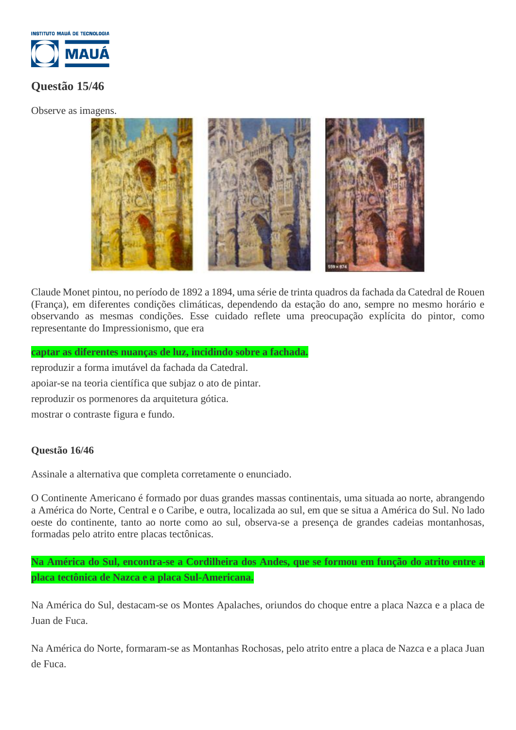

# **Questão 15/46**

Observe as imagens.



Claude Monet pintou, no período de 1892 a 1894, uma série de trinta quadros da fachada da Catedral de Rouen (França), em diferentes condições climáticas, dependendo da estação do ano, sempre no mesmo horário e observando as mesmas condições. Esse cuidado reflete uma preocupação explícita do pintor, como representante do Impressionismo, que era

#### **captar as diferentes nuanças de luz, incidindo sobre a fachada.**

reproduzir a forma imutável da fachada da Catedral. apoiar-se na teoria científica que subjaz o ato de pintar. reproduzir os pormenores da arquitetura gótica. mostrar o contraste figura e fundo.

#### **Questão 16/46**

Assinale a alternativa que completa corretamente o enunciado.

O Continente Americano é formado por duas grandes massas continentais, uma situada ao norte, abrangendo a América do Norte, Central e o Caribe, e outra, localizada ao sul, em que se situa a América do Sul. No lado oeste do continente, tanto ao norte como ao sul, observa-se a presença de grandes cadeias montanhosas, formadas pelo atrito entre placas tectônicas.

### **Na América do Sul, encontra-se a Cordilheira dos Andes, que se formou em função do atrito entre a placa tectônica de Nazca e a placa Sul-Americana.**

Na América do Sul, destacam-se os Montes Apalaches, oriundos do choque entre a placa Nazca e a placa de Juan de Fuca.

Na América do Norte, formaram-se as Montanhas Rochosas, pelo atrito entre a placa de Nazca e a placa Juan de Fuca.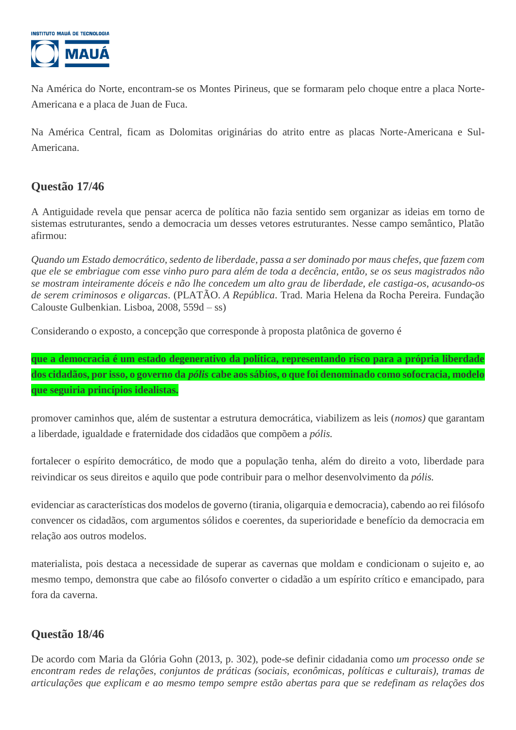

Na América do Norte, encontram-se os Montes Pirineus, que se formaram pelo choque entre a placa Norte-Americana e a placa de Juan de Fuca.

Na América Central, ficam as Dolomitas originárias do atrito entre as placas Norte-Americana e Sul-Americana.

# **Questão 17/46**

A Antiguidade revela que pensar acerca de política não fazia sentido sem organizar as ideias em torno de sistemas estruturantes, sendo a democracia um desses vetores estruturantes. Nesse campo semântico, Platão afirmou:

*Quando um Estado democrático, sedento de liberdade, passa a ser dominado por maus chefes, que fazem com que ele se embriague com esse vinho puro para além de toda a decência, então, se os seus magistrados não se mostram inteiramente dóceis e não lhe concedem um alto grau de liberdade, ele castiga-os, acusando-os de serem criminosos e oligarcas*. (PLATÃO. *A República*. Trad. Maria Helena da Rocha Pereira. Fundação Calouste Gulbenkian. Lisboa, 2008, 559d – ss)

Considerando o exposto, a concepção que corresponde à proposta platônica de governo é

**que a democracia é um estado degenerativo da política, representando risco para a própria liberdade dos cidadãos, por isso, o governo da** *pólis* **cabe aos sábios, o que foi denominado como sofocracia, modelo que seguiria princípios idealistas.**

promover caminhos que, além de sustentar a estrutura democrática, viabilizem as leis (*nomos)* que garantam a liberdade, igualdade e fraternidade dos cidadãos que compõem a *pólis.*

fortalecer o espírito democrático, de modo que a população tenha, além do direito a voto, liberdade para reivindicar os seus direitos e aquilo que pode contribuir para o melhor desenvolvimento da *pólis.*

evidenciar as características dos modelos de governo (tirania, oligarquia e democracia), cabendo ao rei filósofo convencer os cidadãos, com argumentos sólidos e coerentes, da superioridade e benefício da democracia em relação aos outros modelos.

materialista, pois destaca a necessidade de superar as cavernas que moldam e condicionam o sujeito e, ao mesmo tempo, demonstra que cabe ao filósofo converter o cidadão a um espírito crítico e emancipado, para fora da caverna.

# **Questão 18/46**

De acordo com Maria da Glória Gohn (2013, p. 302), pode-se definir cidadania como *um processo onde se encontram redes de relações, conjuntos de práticas (sociais, econômicas, políticas e culturais), tramas de articulações que explicam e ao mesmo tempo sempre estão abertas para que se redefinam as relações dos*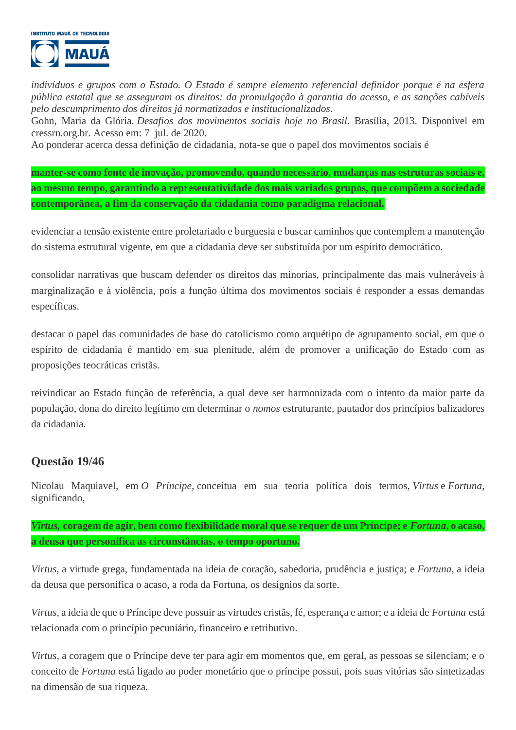

*indivíduos e grupos com o Estado. O Estado é sempre elemento referencial definidor porque é na esfera pública estatal que se asseguram os direitos: da promulgação à garantia do acesso, e as sanções cabíveis pelo descumprimento dos direitos já normatizados e institucionalizados*.

Gohn, Maria da Glória. *Desafios dos movimentos sociais hoje no Brasil*. Brasília, 2013. Disponível em cressrn.org.br. Acesso em: 7 jul. de 2020.

Ao ponderar acerca dessa definição de cidadania, nota-se que o papel dos movimentos sociais é

**manter-se como fonte de inovação, promovendo, quando necessário, mudanças nas estruturas sociais e, ao mesmo tempo, garantindo a representatividade dos mais variados grupos, que compõem a sociedade contemporânea, a fim da conservação da cidadania como paradigma relacional.**

evidenciar a tensão existente entre proletariado e burguesia e buscar caminhos que contemplem a manutenção do sistema estrutural vigente, em que a cidadania deve ser substituída por um espírito democrático.

consolidar narrativas que buscam defender os direitos das minorias, principalmente das mais vulneráveis à marginalização e à violência, pois a função última dos movimentos sociais é responder a essas demandas específicas.

destacar o papel das comunidades de base do catolicismo como arquétipo de agrupamento social, em que o espírito de cidadania é mantido em sua plenitude, além de promover a unificação do Estado com as proposições teocráticas cristãs.

reivindicar ao Estado função de referência, a qual deve ser harmonizada com o intento da maior parte da população, dona do direito legítimo em determinar o *nomos* estruturante, pautador dos princípios balizadores da cidadania.

### **Questão 19/46**

Nicolau Maquiavel, em *O Príncipe,* conceitua em sua teoria política dois termos, *Virtus* e *Fortuna*, significando,

*Virtus,* **coragem de agir, bem como flexibilidade moral que se requer de um Príncipe; e** *Fortuna***, o acaso, a deusa que personifica as circunstâncias, o tempo oportuno.**

*Virtus,* a virtude grega, fundamentada na ideia de coração, sabedoria, prudência e justiça; e *Fortuna,* a ideia da deusa que personifica o acaso, a roda da Fortuna, os desígnios da sorte.

*Virtus*, a ideia de que o Príncipe deve possuir as virtudes cristãs, fé, esperança e amor; e a ideia de *Fortuna* está relacionada com o princípio pecuniário, financeiro e retributivo.

*Virtus*, a coragem que o Príncipe deve ter para agir em momentos que, em geral, as pessoas se silenciam; e o conceito de *Fortuna* está ligado ao poder monetário que o príncipe possui, pois suas vitórias são sintetizadas na dimensão de sua riqueza.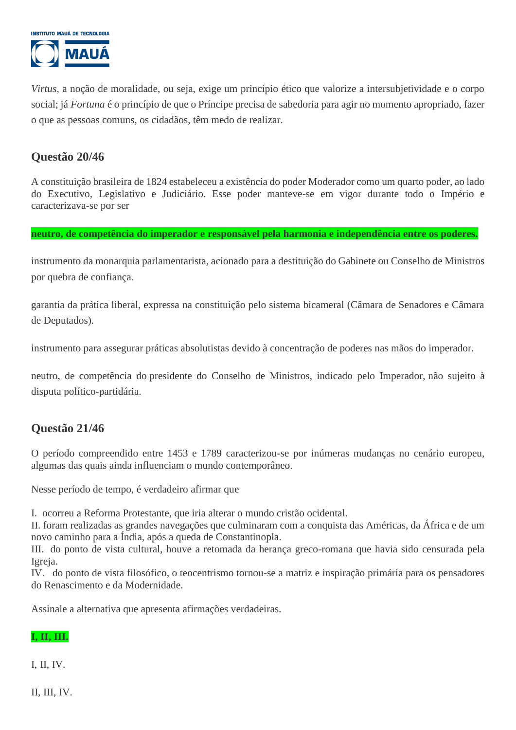

*Virtus*, a noção de moralidade, ou seja, exige um princípio ético que valorize a intersubjetividade e o corpo social; já *Fortuna* é o princípio de que o Príncipe precisa de sabedoria para agir no momento apropriado, fazer o que as pessoas comuns, os cidadãos, têm medo de realizar.

## **Questão 20/46**

A constituição brasileira de 1824 estabeleceu a existência do poder Moderador como um quarto poder, ao lado do Executivo, Legislativo e Judiciário. Esse poder manteve-se em vigor durante todo o Império e caracterizava-se por ser

**neutro, de competência do imperador e responsável pela harmonia e independência entre os poderes.**

instrumento da monarquia parlamentarista, acionado para a destituição do Gabinete ou Conselho de Ministros por quebra de confiança.

garantia da prática liberal, expressa na constituição pelo sistema bicameral (Câmara de Senadores e Câmara de Deputados).

instrumento para assegurar práticas absolutistas devido à concentração de poderes nas mãos do imperador.

neutro, de competência do presidente do Conselho de Ministros, indicado pelo Imperador, não sujeito à disputa político-partidária.

## **Questão 21/46**

O período compreendido entre 1453 e 1789 caracterizou-se por inúmeras mudanças no cenário europeu, algumas das quais ainda influenciam o mundo contemporâneo.

Nesse período de tempo, é verdadeiro afirmar que

I. ocorreu a Reforma Protestante, que iria alterar o mundo cristão ocidental.

II. foram realizadas as grandes navegações que culminaram com a conquista das Américas, da África e de um novo caminho para a Índia, após a queda de Constantinopla.

III. do ponto de vista cultural, houve a retomada da herança greco-romana que havia sido censurada pela Igreja.

IV. do ponto de vista filosófico, o teocentrismo tornou-se a matriz e inspiração primária para os pensadores do Renascimento e da Modernidade.

Assinale a alternativa que apresenta afirmações verdadeiras.

#### **I, II, III.**

I, II, IV.

II, III, IV.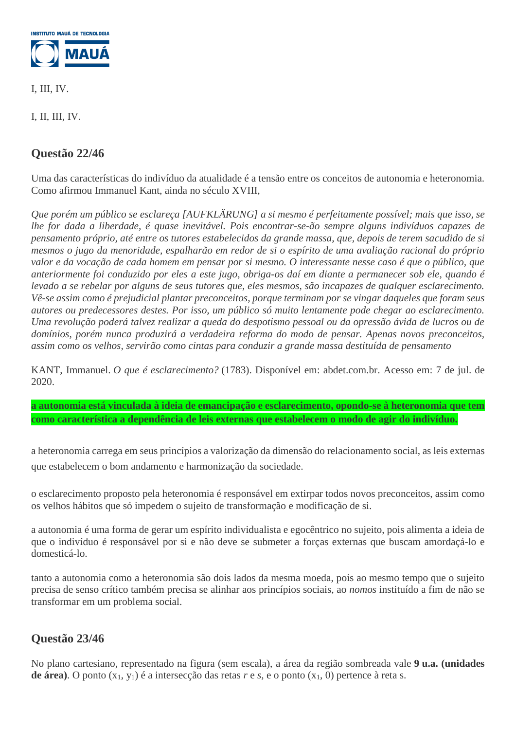

I, III, IV.

I, II, III, IV.

# **Questão 22/46**

Uma das características do indivíduo da atualidade é a tensão entre os conceitos de autonomia e heteronomia. Como afirmou Immanuel Kant, ainda no século XVIII,

*Que porém um público se esclareça [AUFKLÄRUNG] a si mesmo é perfeitamente possível; mais que isso, se lhe for dada a liberdade, é quase inevitável. Pois encontrar-se-ão sempre alguns indivíduos capazes de pensamento próprio, até entre os tutores estabelecidos da grande massa, que, depois de terem sacudido de si mesmos o jugo da menoridade, espalharão em redor de si o espírito de uma avaliação racional do próprio valor e da vocação de cada homem em pensar por si mesmo. O interessante nesse caso é que o público, que anteriormente foi conduzido por eles a este jugo, obriga-os daí em diante a permanecer sob ele, quando é levado a se rebelar por alguns de seus tutores que, eles mesmos, são incapazes de qualquer esclarecimento. Vê-se assim como é prejudicial plantar preconceitos, porque terminam por se vingar daqueles que foram seus autores ou predecessores destes. Por isso, um público só muito lentamente pode chegar ao esclarecimento. Uma revolução poderá talvez realizar a queda do despotismo pessoal ou da opressão ávida de lucros ou de domínios, porém nunca produzirá a verdadeira reforma do modo de pensar. Apenas novos preconceitos, assim como os velhos, servirão como cintas para conduzir a grande massa destituída de pensamento*

KANT, Immanuel. *O que é esclarecimento?* (1783). Disponível em: abdet.com.br. Acesso em: 7 de jul. de 2020.

**a autonomia está vinculada à ideia de emancipação e esclarecimento, opondo-se à heteronomia que tem como característica a dependência de leis externas que estabelecem o modo de agir do indivíduo.**

a heteronomia carrega em seus princípios a valorização da dimensão do relacionamento social, as leis externas que estabelecem o bom andamento e harmonização da sociedade.

o esclarecimento proposto pela heteronomia é responsável em extirpar todos novos preconceitos, assim como os velhos hábitos que só impedem o sujeito de transformação e modificação de si.

a autonomia é uma forma de gerar um espírito individualista e egocêntrico no sujeito, pois alimenta a ideia de que o indivíduo é responsável por si e não deve se submeter a forças externas que buscam amordaçá-lo e domesticá-lo.

tanto a autonomia como a heteronomia são dois lados da mesma moeda, pois ao mesmo tempo que o sujeito precisa de senso crítico também precisa se alinhar aos princípios sociais, ao *nomos* instituído a fim de não se transformar em um problema social.

# **Questão 23/46**

No plano cartesiano, representado na figura (sem escala), a área da região sombreada vale **9 u.a. (unidades de área**). O ponto  $(x_1, y_1)$  é a intersecção das retas  $r \in s$ , e o ponto  $(x_1, 0)$  pertence à reta s.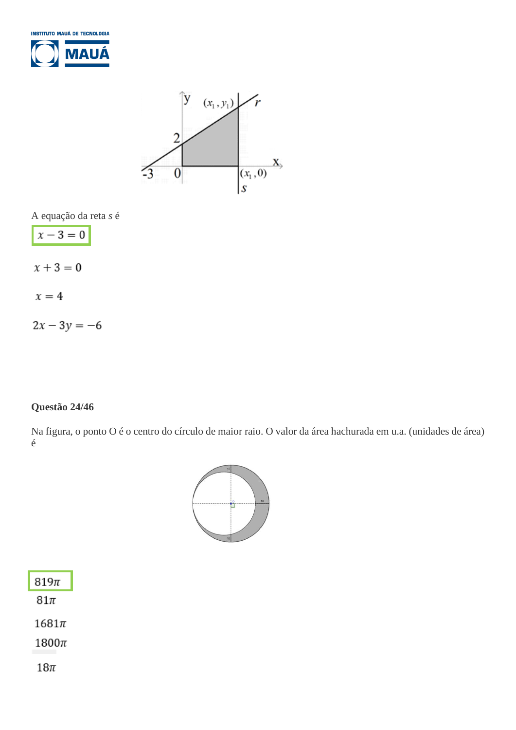



A equação da reta *s* é

$$
x-3=0
$$

 $x+3=0$ 

$$
x=4
$$

 $2x - 3y = -6$ 

### **Questão 24/46**

Na figura, o ponto O é o centro do círculo de maior raio. O valor da área hachurada em u.a. (unidades de área) é



| 819π       |
|------------|
| $81\pi$    |
| $1681\pi$  |
| 1800 $\pi$ |
| 18π        |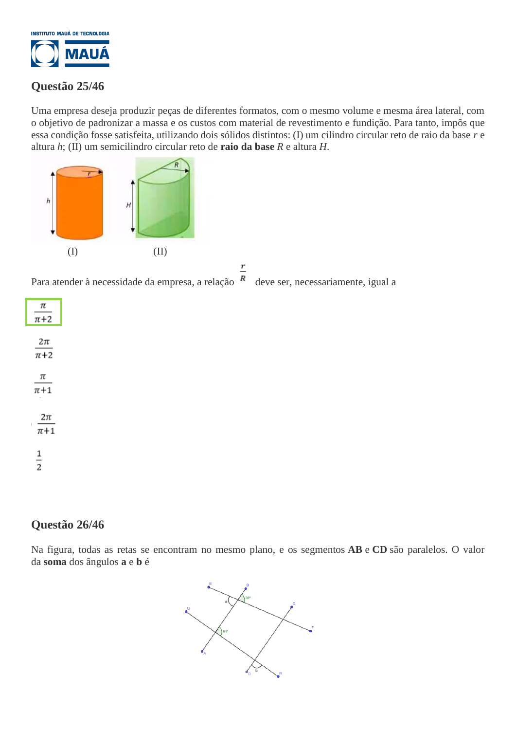

# **Questão 25/46**

Uma empresa deseja produzir peças de diferentes formatos, com o mesmo volume e mesma área lateral, com o objetivo de padronizar a massa e os custos com material de revestimento e fundição. Para tanto, impôs que essa condição fosse satisfeita, utilizando dois sólidos distintos: (I) um cilindro circular reto de raio da base *r* e altura *h*; (II) um semicilindro circular reto de **raio da base** *R* e altura *H*.



Para atender à necessidade da empresa, a relação  $\overline{R}$  deve ser, necessariamente, igual a



| π<br>$\pi + 2$     |
|--------------------|
| 2π<br>$\pi + 2$    |
| π<br>$\pi+1$       |
| 2π<br>I<br>$\pi+1$ |
| 1<br>2             |

# **Questão 26/46**

Na figura, todas as retas se encontram no mesmo plano, e os segmentos **AB** e **CD** são paralelos. O valor da **soma** dos ângulos **a** e **b** é

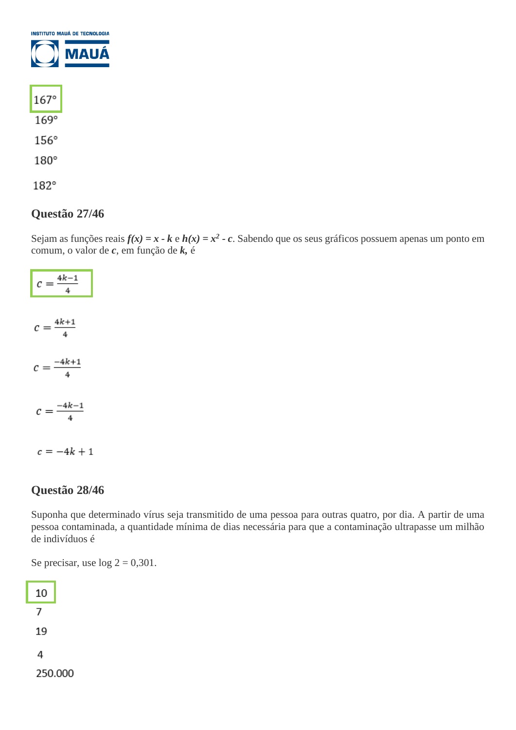| <b>INSTITUTO MAUÁ DE TECNOLOGIA</b> |      |
|-------------------------------------|------|
|                                     | MAUÁ |
| $167^\circ$                         |      |
| $169^\circ$                         |      |
| $156^\circ$                         |      |

180°

182°

## **Questão 27/46**

Sejam as funções reais  $f(x) = x - k e h(x) = x^2 - c$ . Sabendo que os seus gráficos possuem apenas um ponto em comum, o valor de *c*, em função de *k,* é

| $c = \frac{4k-1}{4}$  |  |
|-----------------------|--|
| $c = \frac{4k+1}{4}$  |  |
| $c = \frac{-4k+1}{4}$ |  |
| $c = \frac{-4k-1}{4}$ |  |
| $c = -4k + 1$         |  |

## **Questão 28/46**

Suponha que determinado vírus seja transmitido de uma pessoa para outras quatro, por dia. A partir de uma pessoa contaminada, a quantidade mínima de dias necessária para que a contaminação ultrapasse um milhão de indivíduos é

Se precisar, use  $log 2 = 0,301$ .

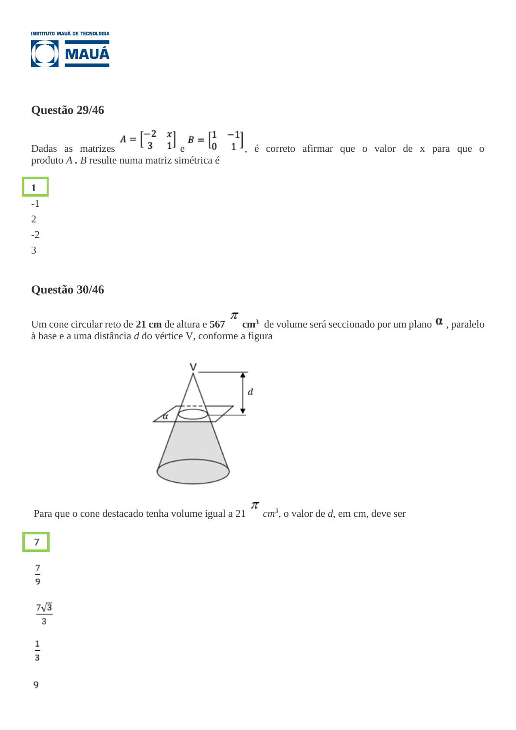

## **Questão 29/46**

Dadas as matrizes  $A = \begin{bmatrix} -2 & x \\ 3 & 1 \end{bmatrix}$   $B = \begin{bmatrix} 1 & -1 \\ 0 & 1 \end{bmatrix}$ , é correto afirmar que o valor de x para que o produto *A . B* resulte numa matriz simétrica é



# **Questão 30/46**

Um cone circular reto de 21 cm de altura e  $567$  cm<sup>3</sup> de volume será seccionado por um plano  $\alpha$ , paralelo à base e a uma distância *d* do vértice V, conforme a figura



Para que o cone destacado tenha volume igual a 21  $\sim cm^3$ , o valor de *d*, em cm, deve ser



 $\overline{7}$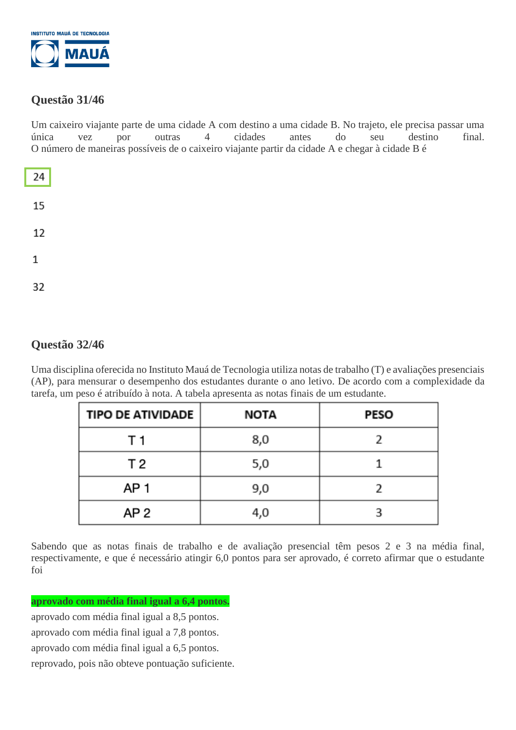

# **Questão 31/46**

Um caixeiro viajante parte de uma cidade A com destino a uma cidade B. No trajeto, ele precisa passar uma única vez por outras 4 cidades antes do seu destino final. O número de maneiras possíveis de o caixeiro viajante partir da cidade A e chegar à cidade B é

| 24           |  |  |  |
|--------------|--|--|--|
| 15           |  |  |  |
| 12           |  |  |  |
| $\mathbf{1}$ |  |  |  |
| 32           |  |  |  |

# **Questão 32/46**

Uma disciplina oferecida no Instituto Mauá de Tecnologia utiliza notas de trabalho (T) e avaliações presenciais (AP), para mensurar o desempenho dos estudantes durante o ano letivo. De acordo com a complexidade da tarefa, um peso é atribuído à nota. A tabela apresenta as notas finais de um estudante.

| <b>TIPO DE ATIVIDADE</b> | NOTA | <b>PESO</b> |
|--------------------------|------|-------------|
| T 1                      | 8,0  |             |
| T <sub>2</sub>           | 5,0  |             |
| AP 1                     | 9,0  |             |
| AP <sub>2</sub>          | 4,0  |             |

Sabendo que as notas finais de trabalho e de avaliação presencial têm pesos 2 e 3 na média final, respectivamente, e que é necessário atingir 6,0 pontos para ser aprovado, é correto afirmar que o estudante foi

**aprovado com média final igual a 6,4 pontos.**

aprovado com média final igual a 8,5 pontos. aprovado com média final igual a 7,8 pontos. aprovado com média final igual a 6,5 pontos. reprovado, pois não obteve pontuação suficiente.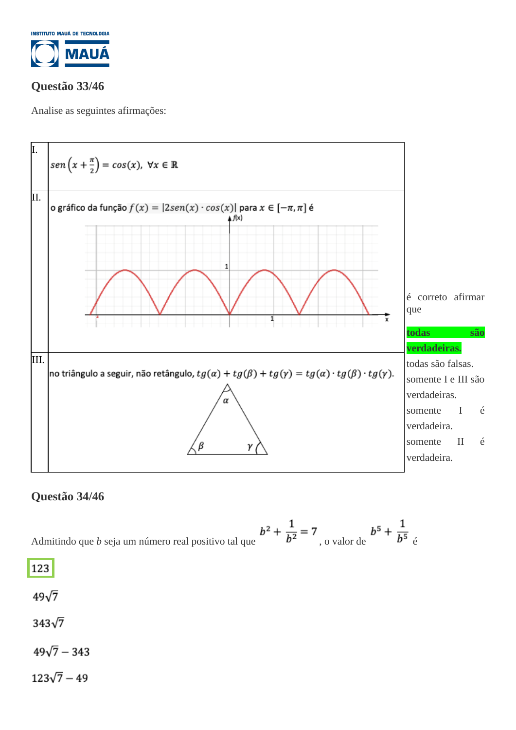

# **Questão 33/46**

Analise as seguintes afirmações:



# **Questão 34/46**

Admitindo que *b* seja um número real positivo tal que 
$$
b^2 + \frac{1}{b^2} = 7
$$
, o valor de 
$$
b^5 + \frac{1}{b^5}
$$

123

 $49\sqrt{7}$ 

 $343\sqrt{7}$ 

 $49\sqrt{7} - 343$ 

 $123\sqrt{7}-49$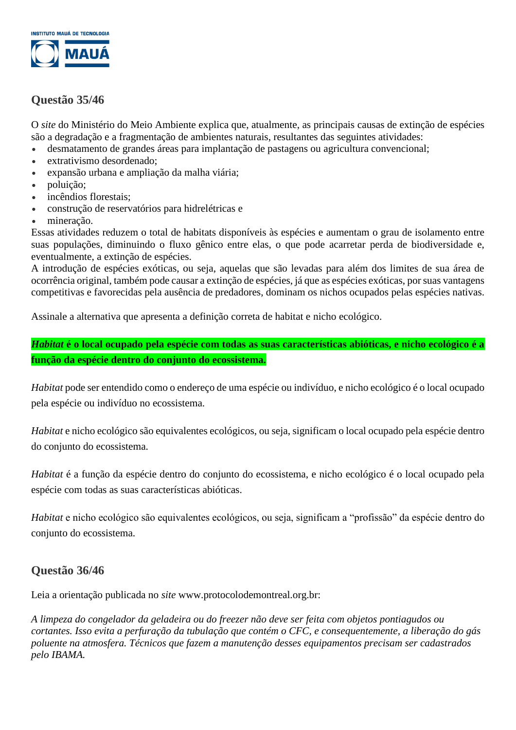

# **Questão 35/46**

O *site* do Ministério do Meio Ambiente explica que, atualmente, as principais causas de extinção de espécies são a degradação e a fragmentação de ambientes naturais, resultantes das seguintes atividades:

- desmatamento de grandes áreas para implantação de pastagens ou agricultura convencional;
- extrativismo desordenado;
- expansão urbana e ampliação da malha viária;
- poluição;
- incêndios florestais:
- construção de reservatórios para hidrelétricas e
- mineração.

Essas atividades reduzem o total de habitats disponíveis às espécies e aumentam o grau de isolamento entre suas populações, diminuindo o fluxo gênico entre elas, o que pode acarretar perda de biodiversidade e, eventualmente, a extinção de espécies.

A introdução de espécies exóticas, ou seja, aquelas que são levadas para além dos limites de sua área de ocorrência original, também pode causar a extinção de espécies, já que as espécies exóticas, por suas vantagens competitivas e favorecidas pela ausência de predadores, dominam os nichos ocupados pelas espécies nativas.

Assinale a alternativa que apresenta a definição correta de habitat e nicho ecológico.

*Habitat* **é o local ocupado pela espécie com todas as suas características abióticas, e nicho ecológico é a função da espécie dentro do conjunto do ecossistema.**

*Habitat* pode ser entendido como o endereço de uma espécie ou indivíduo, e nicho ecológico é o local ocupado pela espécie ou indivíduo no ecossistema.

*Habitat* e nicho ecológico são equivalentes ecológicos, ou seja, significam o local ocupado pela espécie dentro do conjunto do ecossistema.

*Habitat* é a função da espécie dentro do conjunto do ecossistema, e nicho ecológico é o local ocupado pela espécie com todas as suas características abióticas.

*Habitat* e nicho ecológico são equivalentes ecológicos, ou seja, significam a "profissão" da espécie dentro do conjunto do ecossistema.

## **Questão 36/46**

Leia a orientação publicada no *site* www.protocolodemontreal.org.br:

*A limpeza do congelador da geladeira ou do freezer não deve ser feita com objetos pontiagudos ou cortantes. Isso evita a perfuração da tubulação que contém o CFC, e consequentemente, a liberação do gás poluente na atmosfera. Técnicos que fazem a manutenção desses equipamentos precisam ser cadastrados pelo IBAMA.*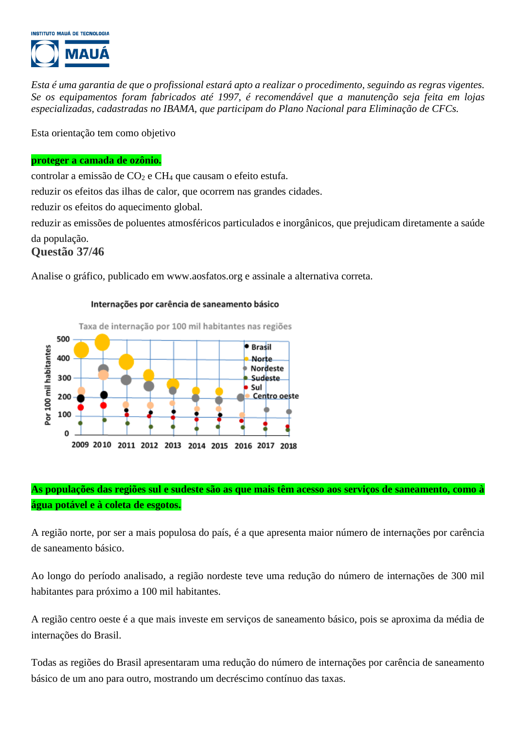

*Esta é uma garantia de que o profissional estará apto a realizar o procedimento, seguindo as regras vigentes. Se os equipamentos foram fabricados até 1997, é recomendável que a manutenção seja feita em lojas especializadas, cadastradas no IBAMA, que participam do Plano Nacional para Eliminação de CFCs.*

Esta orientação tem como objetivo

#### **proteger a camada de ozônio.**

controlar a emissão de  $CO<sub>2</sub>$  e CH<sub>4</sub> que causam o efeito estufa. reduzir os efeitos das ilhas de calor, que ocorrem nas grandes cidades.

reduzir os efeitos do aquecimento global.

reduzir as emissões de poluentes atmosféricos particulados e inorgânicos, que prejudicam diretamente a saúde da população.

#### **Questão 37/46**

Analise o gráfico, publicado em www.aosfatos.org e assinale a alternativa correta.

Taxa de internação por 100 mil habitantes nas regiões 500 ● Brasil Por 100 mil habitantes 400 Norte **Nordeste** 300 Sudeste Sul 200 **Centro oeste** 100 0 2009 2010 2011 2012 2013 2014 2015 2016 2017 2018

#### Internações por carência de saneamento básico

### **As populações das regiões sul e sudeste são as que mais têm acesso aos serviços de saneamento, como à água potável e à coleta de esgotos.**

A região norte, por ser a mais populosa do país, é a que apresenta maior número de internações por carência de saneamento básico.

Ao longo do período analisado, a região nordeste teve uma redução do número de internações de 300 mil habitantes para próximo a 100 mil habitantes.

A região centro oeste é a que mais investe em serviços de saneamento básico, pois se aproxima da média de internações do Brasil.

Todas as regiões do Brasil apresentaram uma redução do número de internações por carência de saneamento básico de um ano para outro, mostrando um decréscimo contínuo das taxas.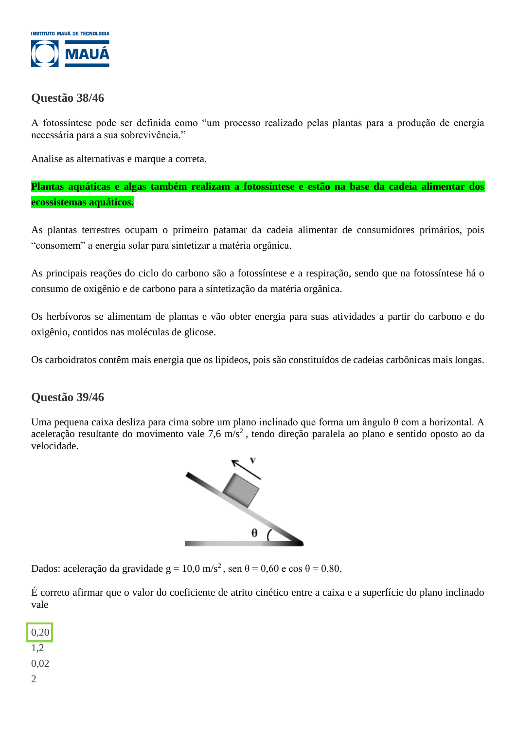

## **Questão 38/46**

A fotossíntese pode ser definida como "um processo realizado pelas plantas para a produção de energia necessária para a sua sobrevivência."

Analise as alternativas e marque a correta.

**Plantas aquáticas e algas também realizam a fotossíntese e estão na base da cadeia alimentar dos ecossistemas aquáticos.**

As plantas terrestres ocupam o primeiro patamar da cadeia alimentar de consumidores primários, pois "consomem" a energia solar para sintetizar a matéria orgânica.

As principais reações do ciclo do carbono são a fotossíntese e a respiração, sendo que na fotossíntese há o consumo de oxigênio e de carbono para a sintetização da matéria orgânica.

Os herbívoros se alimentam de plantas e vão obter energia para suas atividades a partir do carbono e do oxigênio, contidos nas moléculas de glicose.

Os carboidratos contêm mais energia que os lipídeos, pois são constituídos de cadeias carbônicas mais longas.

## **Questão 39/46**

Uma pequena caixa desliza para cima sobre um plano inclinado que forma um ângulo θ com a horizontal. A aceleração resultante do movimento vale 7,6 m/s<sup>2</sup>, tendo direção paralela ao plano e sentido oposto ao da velocidade.



Dados: aceleração da gravidade g = 10,0 m/s<sup>2</sup>, sen  $\theta$  = 0,60 e cos  $\theta$  = 0,80.

É correto afirmar que o valor do coeficiente de atrito cinético entre a caixa e a superfície do plano inclinado vale

0,20 1,2 0,02 2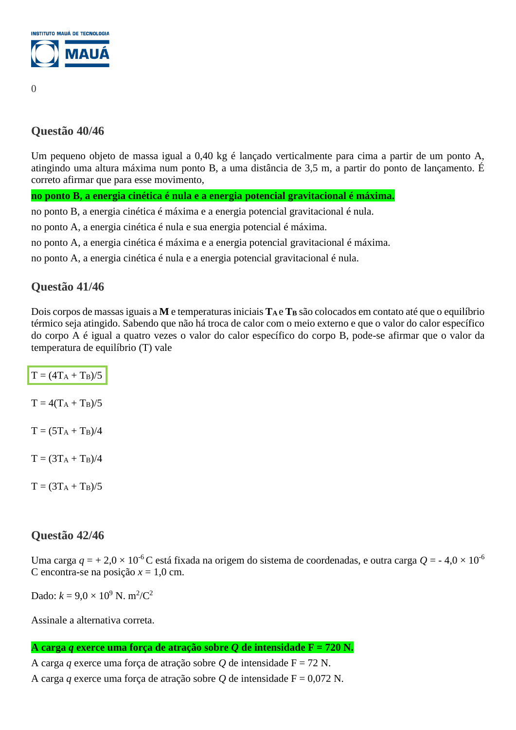

# **Questão 40/46**

Um pequeno objeto de massa igual a 0,40 kg é lançado verticalmente para cima a partir de um ponto A, atingindo uma altura máxima num ponto B, a uma distância de 3,5 m, a partir do ponto de lançamento. É correto afirmar que para esse movimento,

**no ponto B, a energia cinética é nula e a energia potencial gravitacional é máxima.**

no ponto B, a energia cinética é máxima e a energia potencial gravitacional é nula.

no ponto A, a energia cinética é nula e sua energia potencial é máxima.

no ponto A, a energia cinética é máxima e a energia potencial gravitacional é máxima.

no ponto A, a energia cinética é nula e a energia potencial gravitacional é nula.

## **Questão 41/46**

Dois corpos de massas iguais a **M** e temperaturas iniciais **T<sup>A</sup>** e **T<sup>B</sup>** são colocados em contato até que o equilíbrio térmico seja atingido. Sabendo que não há troca de calor com o meio externo e que o valor do calor específico do corpo A é igual a quatro vezes o valor do calor específico do corpo B, pode-se afirmar que o valor da temperatura de equilíbrio (T) vale

| $T = (4T_A + T_B)/5$ |
|----------------------|
| $T = 4(T_A + T_B)/5$ |
| $T = (5T_A + T_B)/4$ |
| $T = (3T_A + T_B)/4$ |
| $T = (3T_A + T_B)/5$ |

## **Questão 42/46**

Uma carga  $q = +2.0 \times 10^{-6}$ C está fixada na origem do sistema de coordenadas, e outra carga  $Q = -4.0 \times 10^{-6}$ C encontra-se na posição  $x = 1,0$  cm.

Dado:  $k = 9.0 \times 10^9$  N. m<sup>2</sup>/C<sup>2</sup>

Assinale a alternativa correta.

**A carga** *q* **exerce uma força de atração sobre** *Q* **de intensidade F = 720 N.**

A carga *q* exerce uma força de atração sobre *Q* de intensidade F = 72 N.

A carga *q* exerce uma força de atração sobre *Q* de intensidade F = 0,072 N.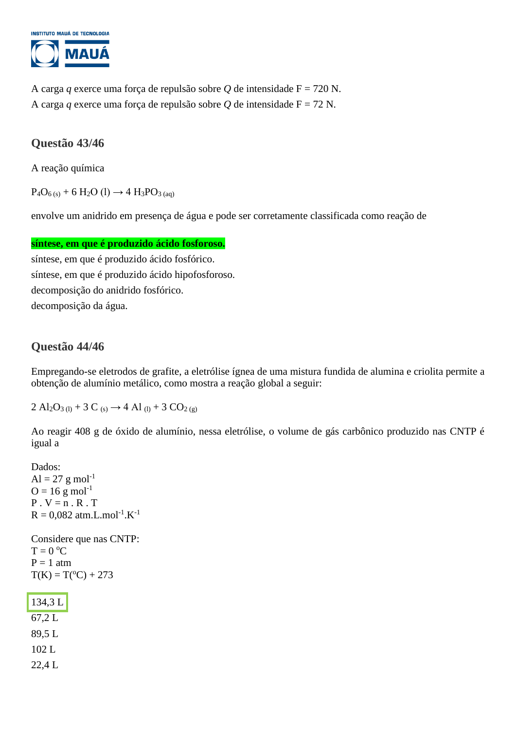

A carga *q* exerce uma força de repulsão sobre *Q* de intensidade F = 720 N. A carga *q* exerce uma força de repulsão sobre *Q* de intensidade F = 72 N.

## **Questão 43/46**

A reação química

 $P_4O_{6(s)} + 6 H_2O (l) \rightarrow 4 H_3PO_{3(aq)}$ 

envolve um anidrido em presença de água e pode ser corretamente classificada como reação de

#### **síntese, em que é produzido ácido fosforoso.**

síntese, em que é produzido ácido fosfórico. síntese, em que é produzido ácido hipofosforoso. decomposição do anidrido fosfórico. decomposição da água.

### **Questão 44/46**

Empregando-se eletrodos de grafite, a eletrólise ígnea de uma mistura fundida de alumina e criolita permite a obtenção de alumínio metálico, como mostra a reação global a seguir:

 $2 \text{ Al}_2\text{O}_3$  (1) + 3 C (s)  $\rightarrow$  4 Al (1) + 3 CO<sub>2 (g)</sub>

Ao reagir 408 g de óxido de alumínio, nessa eletrólise, o volume de gás carbônico produzido nas CNTP é igual a

Dados:  $Al = 27 g mol^{-1}$  $Q = 16$  g mol<sup>-1</sup>  $P \cdot V = n \cdot R \cdot T$  $R = 0.082$  atm.L.mol<sup>-1</sup>.K<sup>-1</sup> Considere que nas CNTP:  $T = 0 °C$  $P = 1$  atm  $T(K) = T({}^{\circ}C) + 273$ 

134,3 L 67,2 L 89,5 L 102 L 22,4 L